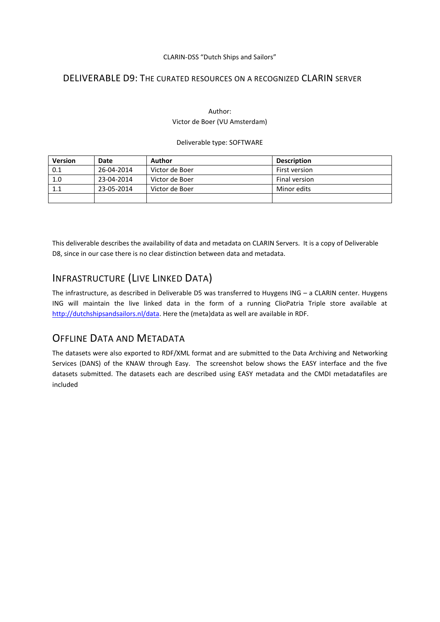#### CLARIN-DSS "Dutch Ships and Sailors"

## DELIVERABLE D9: THE CURATED RESOURCES ON A RECOGNIZED CLARIN SERVER

### Author: Victor de Boer (VU Amsterdam)

#### Deliverable type: SOFTWARE

| <b>Version</b> | Date       | Author         | <b>Description</b> |
|----------------|------------|----------------|--------------------|
| 0.1            | 26-04-2014 | Victor de Boer | First version      |
| 1.0            | 23-04-2014 | Victor de Boer | Final version      |
| 1.1            | 23-05-2014 | Victor de Boer | Minor edits        |
|                |            |                |                    |

This deliverable describes the availability of data and metadata on CLARIN Servers. It is a copy of Deliverable D8, since in our case there is no clear distinction between data and metadata.

# INFRASTRUCTURE (LIVE LINKED DATA)

The infrastructure, as described in Deliverable D5 was transferred to Huygens ING – a CLARIN center. Huygens ING will maintain the live linked data in the form of a running ClioPatria Triple store available at [http://dutchshipsandsailors.nl/data.](http://dutchshipsandsailors.nl/data) Here the (meta)data as well are available in RDF.

## OFFLINE DATA AND METADATA

The datasets were also exported to RDF/XML format and are submitted to the Data Archiving and Networking Services (DANS) of the KNAW through Easy. The screenshot below shows the EASY interface and the five datasets submitted. The datasets each are described using EASY metadata and the CMDI metadatafiles are included